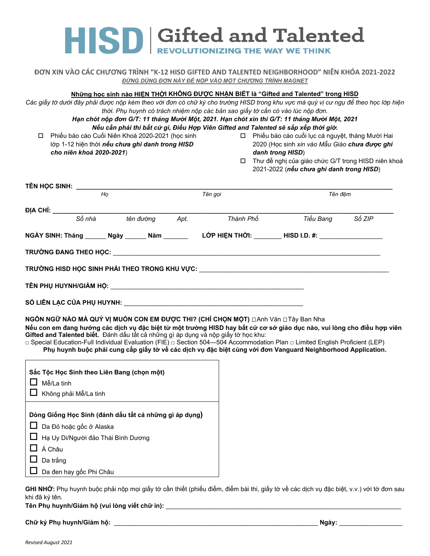# HISD **Sifted and Talented**

### **ĐƠN XIN VÀO CÁC CHƯƠNG TRÌNH "K-12 HISD GIFTED AND TALENTED NEIGHBORHOOD" NIÊN KHÓA 2021-2022** *ĐỪNG DÙNG ĐƠN NÀY ĐỂ NỘP VÀO MỘT CHƯƠNG TRÌNH MAGNET*

## **Những học sinh nào HIỆN THỜI KHÔNG ĐƯỢC NHẬN BIẾT là "Gifted and Talented" trong HISD**

Các giấy tờ dưới đây phải được nộp kèm theo với đơn có chữ ký cho trường HISD trong khu vực mà quý vị cư ngụ để theo học lớp hiện *thời. Phụ huynh có trách nhiệm nộp các bản sao giấy tờ cần có vào lúc nộp đơn.* 

*Hạn chót nộp đơn G/T: 11 tháng Mười Một, 2021. Hạn chót xin thi G/T: 11 tháng Mười Một, 2021 Nếu cần phải thi bất cứ gì, Điều Hợp Viên Gifted and Talented sẽ sắp xếp thời giờ.*

 Phiếu báo cáo Cuối Niên Khoá 2020-2021 (học sinh lớp 1-12 hiện thời *nếu chưa ghi danh trong HISD cho niên khoá 2020-2021*)

 Phiếu báo cáo cuối lục cá nguyệt, tháng Mười Hai 2020 (Học sinh *xin vào Mẫu Giáo chưa được ghi danh trong HISD*)

 Thư đề nghị của giáo chức G/T trong HISD niên khoá 2021-2022 (*nếu chưa ghi danh trong HISD*)

| <b>TÊN HỌC SINH: _____________</b> |                                                   |         |                                                                                                                |           |        |  |
|------------------------------------|---------------------------------------------------|---------|----------------------------------------------------------------------------------------------------------------|-----------|--------|--|
| Ho                                 |                                                   | Tên gọi |                                                                                                                | Tên đêm   |        |  |
|                                    |                                                   |         |                                                                                                                |           |        |  |
| Số nhà                             | tên đường                                         | Apt.    | Thành Phố                                                                                                      | Tiểu Bang | Số ZIP |  |
|                                    | NGÀY SINH: Tháng _______ Ngày _______ Năm _______ |         |                                                                                                                |           |        |  |
|                                    |                                                   |         |                                                                                                                |           |        |  |
|                                    |                                                   |         | TRƯỜNG HISD HỌC SINH PHẢI THEO TRONG KHU VỰC: UNITED AND TRUY THEORY OF THE TRUY ON THE THEORY OF THE THEORY O |           |        |  |
|                                    |                                                   |         | TÊN PHỤ HUYNH/GIÁM HỘ: UNITED ANGHOL ANGHOL ANGHOL ANGHOL ANGHOL ANGHOL ANGHOL ANGHOL ANGHOL ANGHOL ANGHOL ANG |           |        |  |
|                                    |                                                   |         | SỐ LIÊN LẠC CỦA PHỤ HUYNH: NAT THANH THANH THANH THANH THANH THANH THANH THANH THANH THANH THANH THANH THANH T |           |        |  |

**NGÔN NGỮ NÀO MÀ QUÝ VỊ MUỐN CON EM ĐƯỢC THI? (CHỈ CHỌN MỘT)** Anh Văn Tây Ban Nha

Nếu con em đang hưởng các dịch vụ đặc biệt từ một trường HISD hay bất cứ cơ sở giáo dục nào, vui lòng cho điều hợp viên **Gifted and Talented biết.** Đánh dấu tất cả những gì áp dụng và nộp giấy tờ học khu:

**□** Special Education-Full Individual Evaluation (FIE) □ Section 504—504 Accommodation Plan □ Limited English Proficient (LEP) Phu huynh buộc phải cung cấp giấy tờ về các dịch vụ đặc biệt cùng với đơn Vanguard Neighborhood Application.

| Sắc Tộc Học Sinh theo Liên Bang (chọn một)<br>Mễ/La tinh<br>Không phải Mễ/La tinh                                                                                                            |
|----------------------------------------------------------------------------------------------------------------------------------------------------------------------------------------------|
| Dòng Giống Học Sinh (đánh dấu tất cả những gì áp dụng)<br>□ Da Đỏ hoặc gốc ở Alaska<br>□ Hạ Uy Di/Người đảo Thái Bình Dương<br>$\Box$ Á Châu<br>$\Box$ Da trắng<br>□ Da đen hay gốc Phi Châu |

**GHI NHỚ:** Phụ huynh buộc phải nộp mọi giấy tờ cần thiết (phiếu điểm, điểm bài thi, giấy tờ về các dịch vụ đặc biệt, v.v.) với tờ đơn sau khi đã ký tên.

**Tên Phụ huynh/Giám hộ (vui lòng viết chữ in):** \_\_\_\_\_\_\_\_\_\_\_\_\_\_\_\_\_\_\_\_\_\_\_\_\_\_\_\_\_\_\_\_\_\_\_\_\_\_\_\_\_\_\_\_\_\_\_\_\_\_\_\_\_\_\_\_\_\_\_\_\_\_\_\_\_\_\_

**Chữ ký Phụ huynh/Giám hộ:** \_\_\_\_\_\_\_\_\_\_\_\_\_\_\_\_\_\_\_\_\_\_\_\_\_\_\_\_\_\_\_\_\_\_\_\_\_\_\_\_\_\_\_\_\_\_\_\_\_\_\_\_\_\_\_\_\_\_ **Ngày:** \_\_\_\_\_\_\_\_\_\_\_\_\_\_\_\_\_\_